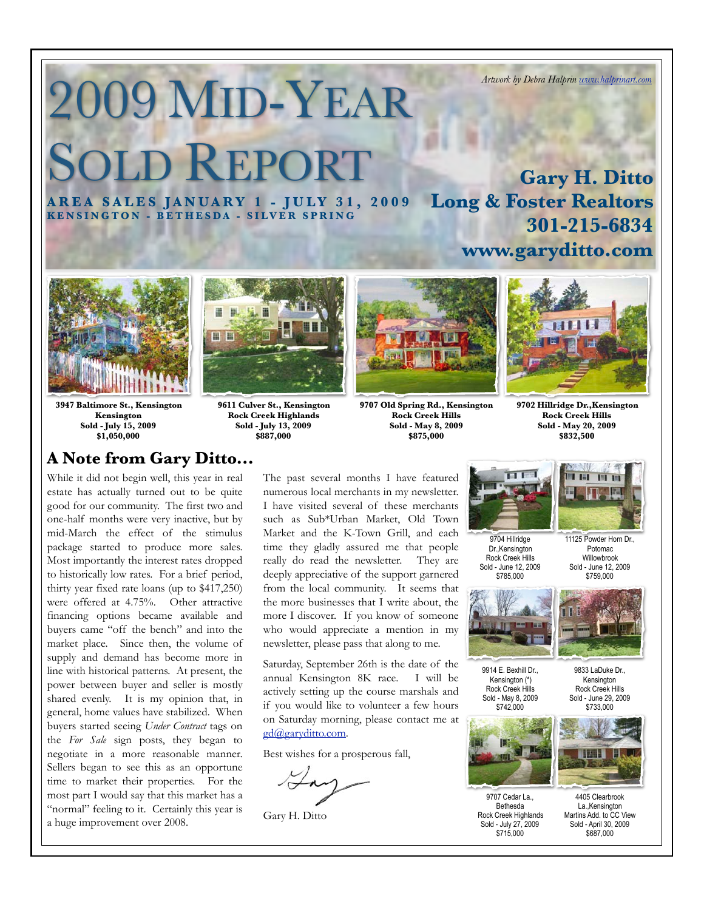# 2009 MID-YEAR **OLD REPORT**

**A R E A S A L E S J A N U A R Y 1 - J U L Y 3 1 , 2 0 0 9 KENSINGTON - BETHESDA - SILVER SPRING Long & Foster Realtors 301-215-6834**



**3947 Baltimore St., Kensington Kensington Sold - July 15, 2009 \$1,050,000**

# **A Note from Gary Ditto...**

While it did not begin well, this year in real estate has actually turned out to be quite good for our community. The first two and one-half months were very inactive, but by mid-March the effect of the stimulus package started to produce more sales. Most importantly the interest rates dropped to historically low rates. For a brief period, thirty year fixed rate loans (up to \$417,250) were offered at 4.75%. Other attractive financing options became available and buyers came "off the bench" and into the market place. Since then, the volume of supply and demand has become more in line with historical patterns. At present, the power between buyer and seller is mostly shared evenly. It is my opinion that, in general, home values have stabilized. When buyers started seeing *Under Contract* tags on the *For Sale* sign posts, they began to negotiate in a more reasonable manner. Sellers began to see this as an opportune time to market their properties. For the most part I would say that this market has a "normal" feeling to it. Certainly this year is a huge improvement over 2008.



**9611 Culver St., Kensington Rock Creek Highlands Sold - July 13, 2009**

**Rock Creek Hills Sold - May 8, 2009 \$875,000**



**www.garyditto.com**

**9702 Hillridge Dr.,Kensington Rock Creek Hills Sold - May 20, 2009 \$832,500**

**FILE** 





11125 Powder Horn Dr. Potomac Willowbrook Sold - June 12, 2009 \$759,000

四田

9833 LaDuke Dr., Kensington Rock Creek Hills Sold - June 29, 2009 \$733,000



9707 Cedar La., Bethesda Rock Creek Highlands Sold - July 27, 2009 \$715,000



4405 Clearbrook La.,Kensington Martins Add. to CC View Sold - April 30, 2009 \$687,000

**\$887,000**

[gd@garyditto.com.](mailto:gd@garyditto.com)

Gary H. Ditto

Best wishes for a prosperous fall,

The past several months I have featured numerous local merchants in my newsletter. I have visited several of these merchants such as Sub\*Urban Market, Old Town

newsletter, please pass that along to me. Saturday, September 26th is the date of the annual Kensington 8K race. I will be actively setting up the course marshals and if you would like to volunteer a few hours on Saturday morning, please contact me at

**9707 Old Spring Rd., Kensington**



*Artwork by Debra Halprin [www.halprinart.com](http://www.halprinart.com)*

**Gary H. Ditto**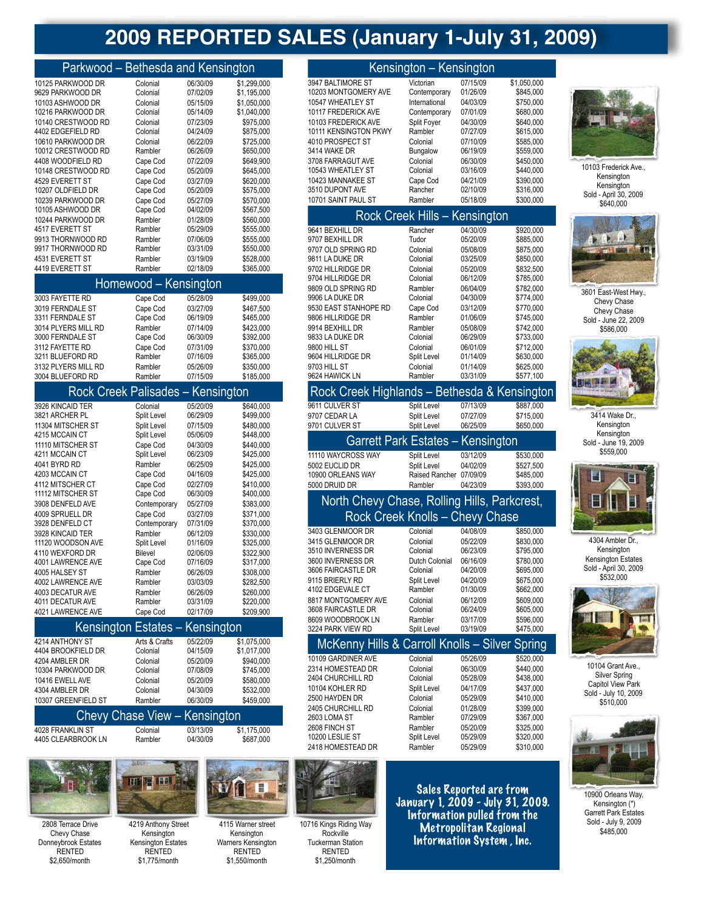# **2009 REPORTED SALES (January 1-July 31, 2009)**

|  | Parkwood - Bethesda and Kensington |  |
|--|------------------------------------|--|
|--|------------------------------------|--|

|                    |          |          | J           |
|--------------------|----------|----------|-------------|
| 10125 PARKWOOD DR  | Colonial | 06/30/09 | \$1,299,000 |
| 9629 PARKWOOD DR   | Colonial | 07/02/09 | \$1,195,000 |
| 10103 ASHWOOD DR   | Colonial | 05/15/09 | \$1.050.000 |
| 10216 PARKWOOD DR  | Colonial | 05/14/09 | \$1,040,000 |
| 10140 CRESTWOOD RD | Colonial | 07/23/09 | \$975.000   |
| 4402 EDGEFIELD RD  | Colonial | 04/24/09 | \$875,000   |
| 10610 PARKWOOD DR  | Colonial | 06/22/09 | \$725.000   |
| 10012 CRESTWOOD RD | Rambler  | 06/26/09 | \$650,000   |
| 4408 WOODFIELD RD  | Cape Cod | 07/22/09 | \$649.900   |
| 10148 CRESTWOOD RD | Cape Cod | 05/20/09 | \$645,000   |
| 4529 EVERETT ST    | Cape Cod | 03/27/09 | \$620,000   |
| 10207 OLDFIELD DR  | Cape Cod | 05/20/09 | \$575,000   |
| 10239 PARKWOOD DR  | Cape Cod | 05/27/09 | \$570.000   |
| 10105 ASHWOOD DR   | Cape Cod | 04/02/09 | \$567,500   |
| 10244 PARKWOOD DR  | Rambler  | 01/28/09 | \$560,000   |
| 4517 EVERETT ST    | Rambler  | 05/29/09 | \$555,000   |
| 9913 THORNWOOD RD  | Rambler  | 07/06/09 | \$555.000   |
| 9917 THORNWOOD RD  | Rambler  | 03/31/09 | \$550,000   |
| 4531 EVERETT ST    | Rambler  | 03/19/09 | \$528,000   |
| 4419 EVERETT ST    | Rambler  | 02/18/09 | \$365,000   |

| Homewood - Kensington |                                    |          |           |  |
|-----------------------|------------------------------------|----------|-----------|--|
| 3003 FAYETTE RD       | Cape Cod                           | 05/28/09 | \$499,000 |  |
| 3019 FERNDALE ST      | Cape Cod                           | 03/27/09 | \$467.500 |  |
| 3311 FERNDALE ST      | Cape Cod                           | 06/19/09 | \$465,000 |  |
| 3014 PLYERS MILL RD   | Rambler                            | 07/14/09 | \$423.000 |  |
| 3000 FERNDALE ST      | Cape Cod                           | 06/30/09 | \$392,000 |  |
| 3112 FAYETTE RD       | Cape Cod                           | 07/31/09 | \$370.000 |  |
| 3211 BLUEFORD RD      | Rambler                            | 07/16/09 | \$365,000 |  |
| 3132 PLYERS MILL RD   | Rambler                            | 05/26/09 | \$350.000 |  |
| 3004 BLUEFORD RD      | Rambler                            | 07/15/09 | \$185,000 |  |
|                       | Daak Crook Doliopdoo<br>Kansinston |          |           |  |

| י נסשפוווס ו חססווט ווער ה      |              | <b>INGHOTHYWH</b> |           |
|---------------------------------|--------------|-------------------|-----------|
| 3926 KINCAID TER                | Colonial     | 05/20/09          | \$640,000 |
| 3821 ARCHER PL                  | Split Level  | 06/29/09          | \$499,000 |
| 11304 MITSCHER ST               | Split Level  | 07/15/09          | \$480,000 |
| 4215 MCCAIN CT                  | Split Level  | 05/06/09          | \$448,000 |
| 11110 MITSCHER ST               | Cape Cod     | 04/30/09          | \$440.000 |
| 4211 MCCAIN CT                  | Split Level  | 06/23/09          | \$425,000 |
| 4041 BYRD RD                    | Rambler      | 06/25/09          | \$425,000 |
| 4203 MCCAIN CT                  | Cape Cod     | 04/16/09          | \$425,000 |
| 4112 MITSCHER CT                | Cape Cod     | 02/27/09          | \$410.000 |
| 11112 MITSCHER ST               | Cape Cod     | 06/30/09          | \$400,000 |
| 3908 DENFELD AVE                | Contemporary | 05/27/09          | \$383,000 |
| 4009 SPRUELL DR                 | Cape Cod     | 03/27/09          | \$371,000 |
| 3928 DENFELD CT                 | Contemporary | 07/31/09          | \$370,000 |
| 3928 KINCAID TER                | Rambler      | 06/12/09          | \$330,000 |
| 11120 WOODSON AVE               | Split Level  | 01/16/09          | \$325,000 |
| 4110 WEXFORD DR                 | Bilevel      | 02/06/09          | \$322,900 |
| 4001 LAWRENCE AVE               | Cape Cod     | 07/16/09          | \$317,000 |
| 4005 HALSEY ST                  | Rambler      | 06/26/09          | \$308,000 |
| 4002 LAWRENCE AVE               | Rambler      | 03/03/09          | \$282,500 |
| 4003 DECATUR AVE                | Rambler      | 06/26/09          | \$260,000 |
| 4011 DECATUR AVE                | Rambler      | 03/31/09          | \$220,000 |
| 4021 LAWRENCE AVE               | Cape Cod     | 02/17/09          | \$209,900 |
| Kensington Estates – Kensington |              |                   |           |

|                     |                      |               | $1.01101191011 = 0.01000$ $1.01101191011$ |             |  |
|---------------------|----------------------|---------------|-------------------------------------------|-------------|--|
| 4214 ANTHONY ST     |                      | Arts & Crafts | 05/22/09                                  | \$1,075,000 |  |
| 4404 BROOKFIELD DR  |                      | Colonial      | 04/15/09                                  | \$1,017,000 |  |
| 4204 AMBLER DR      |                      | Colonial      | 05/20/09                                  | \$940,000   |  |
| 10304 PARKWOOD DR   |                      | Colonial      | 07/08/09                                  | \$745,000   |  |
| 10416 EWELL AVE     |                      | Colonial      | 05/20/09                                  | \$580,000   |  |
| 4304 AMBLER DR      |                      | Colonial      | 04/30/09                                  | \$532,000   |  |
| 10307 GREENFIELD ST |                      | Rambler       | 06/30/09                                  | \$459.000   |  |
|                     | $\sim$<br><b>A</b> 1 | .             | $\mathbf{r}$                              |             |  |

|                    | Chevy Chase View - Kensington |          |             |
|--------------------|-------------------------------|----------|-------------|
| 4028 FRANKLIN ST   | Colonial                      | 03/13/09 | \$1.175.000 |
| 4405 CLEARBROOK LN | Rambler                       | 04/30/09 | \$687.000   |



2808 Terrace Drive Chevy Chase Donneybrook Estates RENTED \$2,650/month



Kensington Kensington Estates RENTED \$1,775/month



Ш

\$1,550/month

| 3947 BALTIMORE ST                                   | Victorian                            | 07/15/09             | \$1,050,000            |
|-----------------------------------------------------|--------------------------------------|----------------------|------------------------|
| 10203 MONTGOMERY AVE                                | Contemporary                         | 01/26/09             | \$845,000              |
| 10547 WHEATLEY ST                                   | International                        | 04/03/09             | \$750,000              |
| 10117 FREDERICK AVE<br>10103 FREDERICK AVE          | Contemporary<br>Split Foyer          | 07/01/09<br>04/30/09 | \$680,000<br>\$640,000 |
| 10111 KENSINGTON PKWY                               | Rambler                              | 07/27/09             | \$615,000              |
| 4010 PROSPECT ST                                    | Colonial                             | 07/10/09             | \$585,000              |
| 3414 WAKE DR                                        | Bungalow                             | 06/19/09             | \$559,000              |
| 3708 FARRAGUT AVE                                   | Colonial                             | 06/30/09             | \$450,000              |
| 10543 WHEATLEY ST                                   | Colonial                             | 03/16/09             | \$440,000              |
| 10423 MANNAKEE ST                                   | Cape Cod                             | 04/21/09             | \$390,000              |
| 3510 DUPONT AVE                                     | Rancher<br>Rambler                   | 02/10/09             | \$316,000              |
| 10701 SAINT PAUL ST                                 |                                      | 05/18/09             | \$300,000              |
|                                                     | <b>Rock Creek Hills - Kensington</b> |                      |                        |
| 9641 BEXHILL DR                                     | Rancher                              | 04/30/09             | \$920,000              |
| 9707 BEXHILL DR                                     | Tudor                                | 05/20/09             | \$885,000              |
| 9707 OLD SPRING RD<br>9811 LA DUKE DR               | Colonial<br>Colonial                 | 05/08/09<br>03/25/09 | \$875,000<br>\$850,000 |
| 9702 HILLRIDGE DR                                   | Colonial                             | 05/20/09             | \$832,500              |
| 9704 HILLRIDGE DR                                   | Colonial                             | 06/12/09             | \$785,000              |
| 9809 OLD SPRING RD                                  | Rambler                              | 06/04/09             | \$782,000              |
| 9906 LA DUKE DR                                     | Colonial                             | 04/30/09             | \$774,000              |
| 9530 EAST STANHOPE RD                               | Cape Cod                             | 03/12/09             | \$770,000              |
| 9806 HILLRIDGE DR                                   | Rambler                              | 01/06/09             | \$745,000              |
| 9914 BEXHILL DR                                     | Rambler                              | 05/08/09             | \$742,000              |
| 9833 LA DUKE DR<br>9800 HILL ST                     | Colonial<br>Colonial                 | 06/29/09<br>06/01/09 | \$733,000<br>\$712,000 |
| 9604 HILLRIDGE DR                                   | Split Level                          | 01/14/09             | \$630,000              |
| 9703 HILL ST                                        | Colonial                             | 01/14/09             | \$625,000              |
| 9624 HAWICK LN                                      | Rambler                              | 03/31/09             | \$577,100              |
| Rock Creek Highlands - Bethesda & Kensington        |                                      |                      |                        |
| 9611 CULVER ST                                      | Split Level                          | 07/13/09             | \$887,000              |
| 9707 CEDAR LA                                       | Split Level                          | 07/27/09             | \$715,000              |
|                                                     |                                      |                      |                        |
| 9701 CULVER ST                                      | Split Level                          | 06/25/09             | \$650,000              |
| <b>Garrett Park Estates -</b>                       |                                      | Kensington           |                        |
| 11110 WAYCROSS WAY                                  | Split Level                          | 03/12/09             | \$530,000              |
| 5002 EUCLID DR                                      | Split Level                          | 04/02/09             | \$527,500              |
| 10900 ORLEANS WAY                                   | Raised Rancher                       | 07/09/09             | \$485,000              |
| 5000 DRUID DR                                       | Rambler                              | 04/23/09             | \$393,000              |
| North Chevy Chase, Rolling Hills, Parkcrest,        |                                      |                      |                        |
|                                                     |                                      |                      |                        |
| Rock Creek Knolls - Chevy Chase<br>3403 GLENMOOR DR | Colonial                             | 04/08/09             | \$850,000              |
| 3415 GLENMOOR DR                                    | Colonial                             | 05/22/09             | \$830,000              |
| 3510 INVERNESS DR                                   | Colonial                             | 06/23/09             | \$795,000              |
| 3600 INVERNESS DR                                   | Dutch Colonial                       | 06/16/09             | \$780,000              |
| 3606 FAIRCASTLE DR                                  | Colonial                             | 04/20/09             | \$695,000              |
| 9115 BRIERLY RD                                     | Split Level                          | 04/20/09             | \$675,000              |
| 4102 EDGEVALE CT<br>8817 MONTGOMERY AVE             | Rambler<br>Colonial                  | 01/30/09<br>06/12/09 | \$662,000              |
| 3608 FAIRCASTLE DR                                  | Colonial                             | 06/24/09             | \$609,000<br>\$605,000 |
| 8609 WOODBROOK LN                                   | Rambler                              | 03/17/09             | \$596,000              |
| 3224 PARK VIEW RD                                   | Split Level                          | 03/19/09             | \$475,000              |
| McKenny Hills & Carroll Knolls - Silver             |                                      |                      | <b>Spring</b>          |
| 10109 GARDINER AVE                                  | Colonial                             | 05/26/09             | \$520,000              |
| 2314 HOMESTEAD DR                                   | Colonial                             | 06/30/09             | \$440,000              |
| 2404 CHURCHILL RD                                   | Colonial                             | 05/28/09             | \$438,000              |
| 10104 KOHLER RD<br>2500 HAYDEN DR                   | Split Level<br>Colonial              | 04/17/09<br>05/29/09 | \$437,000              |
| 2405 CHURCHILL RD                                   | Colonial                             | 01/28/09             | \$410,000<br>\$399,000 |
| 2603 LOMA ST                                        | Rambler                              | 07/29/09             | \$367,000              |
| 2608 FINCH ST                                       | Rambler                              | 05/20/09             | \$325,000              |
| 10200 LESLIE ST<br>2418 HOMESTEAD DR                | Split Level<br>Rambler               | 05/29/09<br>05/29/09 | \$320,000<br>\$310,000 |

Kensington – Kensington



10103 Frederick Ave., Kensington Kensington Sold - April 30, 2009 \$640,000



3601 East-West Hwy., Chevy Chase Chevy Chase Sold - June 22, 2009 \$586,000



<sup>3414</sup> Wake Dr., Kensington Kensington Sold - June 19, 2009 \$559,000



4304 Ambler Dr., Kensington Kensington Estates Sold - April 30, 2009 \$532,000



10104 Grant Ave., Silver Spring Capitol View Park Sold - July 10, 2009 \$510,000



10900 Orleans Way, Kensington (\*) Garrett Park Estates Sold - July 9, 2009 \$485,000



10716 Kings Riding Way Rockville Tuckerman Station RENTED \$1,250/month

Sales Reported are from January 1, 2009 - July 31, 2009. Information pulled from the Metropolitan Regional Information System , Inc.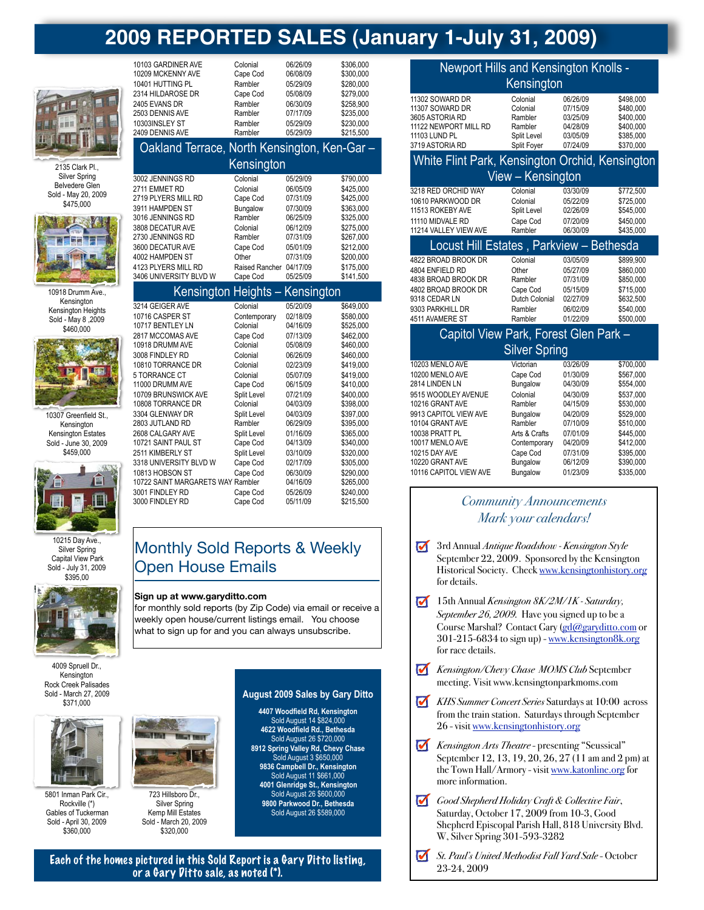# **2009 REPORTED SALES (January 1-July 31, 2009)**



2135 Clark Pl., Silver Spring Belvedere Glen Sold - May 20, 2009 \$475,000



10918 Drumm Ave., Kensington **Kensington Heights** Sold - May 8 ,2009  $$460,000$ 



10307 Greenfield St., Kensington Kensington Estates Sold - June 30, 2009 \$459,000



10215 Day Ave., Silver Spring Capital View Park Sold - July 31, 2009 \$395,00



4009 Spruell Dr. **Kensington** Rock Creek Palisades Sold - March 27, 2009 \$371,000



5801 Inman Park Cir., Rockville (\*) Gables of Tuckerman Sold - April 30, 2009 \$360,000



723 Hillsboro Dr., Silver Spring Kemp Mill Estates Sold - March 20, 2009 \$320,000

#### 10303INSLEY ST Rambler 05/29/09 \$230,000 2409 DENNIS AVE Oakland Terrace, North Kensington, Ken-Gar – Kensington 3002 JENNINGS RD Colonial 05/29/09 \$790,000 2711 EMMET RD Colonial 06/05/09 \$425,000 2719 PLYERS MILL RD Cape Cod 07/31/09 3911 HAMPDEN ST Bungalow 07/30/09 \$363,000 3016 JENNINGS RD

10103 GARDINER AVE Colonial 06/26/09 \$306,000

10401 HUTTING PL Rambler 05/29/09 \$280,000

2405 EVANS DR Rambler 06/30/09 \$258,900 2503 DENNIS AVE Rambler 07/17/09 \$235,000

10209 MCKENNY AVE

2314 HILDAROSE DR

| 3808 DECATUR AVE<br>2730 JENNINGS RD<br>3600 DECATUR AVE | Colonial<br>Rambler<br>Cape Cod | 06/12/09<br>07/31/09<br>05/01/09 | \$275,000<br>\$267,000<br>\$212.000 |
|----------------------------------------------------------|---------------------------------|----------------------------------|-------------------------------------|
| 4002 HAMPDEN ST                                          | Other                           | 07/31/09                         | \$200,000                           |
| 4123 PLYERS MILL RD                                      | Raised Rancher                  | 04/17/09                         | \$175,000                           |
| 3406 UNIVERSITY BLVD W                                   | Cape Cod                        | 05/25/09                         | \$141,500                           |
| Kensington Heights - Kensington                          |                                 |                                  |                                     |
| 3214 GEIGER AVE                                          | Colonial                        | 05/20/09                         | \$649,000                           |
| 10716 CASPER ST                                          | Contemporary                    | 02/18/09                         | \$580.000                           |
| 10717 BENTLEY LN                                         | Colonial                        | 04/16/09                         | \$525,000                           |
| 2817 MCCOMAS AVE                                         | Cape Cod                        | 07/13/09                         | \$462.000                           |
| 10918 DRUMM AVE                                          | Colonial                        | 05/08/09                         | \$460,000                           |
| 3008 FINDLEY RD                                          | Colonial                        | 06/26/09                         | \$460,000                           |
| 10810 TORRANCE DR                                        | Colonial                        | 02/23/09                         | \$419,000                           |
| 5 TORRANCE CT                                            | Colonial                        | 05/07/09                         | \$419,000                           |
| 11000 DRUMM AVE                                          | Cape Cod                        | 06/15/09                         | \$410,000                           |
| 10709 BRUNSWICK AVE<br>10808 TORRANCE DR                 | Split Level<br>Colonial         | 07/21/09                         | \$400,000                           |
|                                                          |                                 | 04/03/09                         | \$398,000                           |
| 3304 GLENWAY DR<br>2803 JUTLAND RD                       | Split Level<br>Rambler          | 04/03/09<br>06/29/09             | \$397.000<br>\$395,000              |
| 2608 CALGARY AVE                                         | Split Level                     | 01/16/09                         | \$365,000                           |
| 10721 SAINT PAUL ST                                      | Cape Cod                        | 04/13/09                         | \$340,000                           |
| 2511 KIMBERLY ST                                         | Split Level                     | 03/10/09                         | \$320,000                           |
| 3318 UNIVERSITY BLVD W                                   | Cape Cod                        | 02/17/09                         | \$305,000                           |
| 10813 HOBSON ST                                          | Cape Cod                        | 06/30/09                         | \$290.000                           |
| 10722 SAINT MARGARETS WAY Rambler                        |                                 | 04/16/09                         | \$265,000                           |
| 3001 FINDLEY RD                                          | Cape Cod                        | 05/26/09                         | \$240,000                           |
| 3000 FINDLEY RD                                          | Cape Cod                        | 05/11/09                         | \$215,500                           |
|                                                          |                                 |                                  |                                     |

## Monthly Sold Reports & Weekly Open House Emails

#### **Sign up at www.garyditto.com**

for monthly sold reports (by Zip Code) via email or receive a weekly open house/current listings email. You choose what to sign up for and you can always unsubscribe.

#### **August 2009 Sales by Gary Ditto**

**4407 Woodfield Rd, Kensington** Sold August 14 \$824,000 **4622 Woodfield Rd., Bethesda** Sold August 26 \$720,000 **8912 Spring Valley Rd, Chevy Chase** Sold August 3 \$650,000 **9836 Campbell Dr., Kensington** Sold August 11 \$661,000 **4001 Glenridge St., Kensington** Sold August 26 \$600,000 **9800 Parkwood Dr., Bethesda** Sold August 26 \$589,000

Each of the homes pictured in this Sold Report is a Gary Ditto listing, or a Gary Ditto sale, as noted (\*).

| <b>Newport Hills and Kensington Knolls -</b><br>Kensington                                                                                   |                                                                                  |                                                                                  |                                                                                         |  |
|----------------------------------------------------------------------------------------------------------------------------------------------|----------------------------------------------------------------------------------|----------------------------------------------------------------------------------|-----------------------------------------------------------------------------------------|--|
| 11302 SOWARD DR<br>11307 SOWARD DR<br>3605 ASTORIA RD<br>11122 NEWPORT MILL RD<br>11103 LUND PL<br>3719 ASTORIA RD                           | Colonial<br>Colonial<br>Rambler<br>Rambler<br>Split Level<br>Split Foyer         | 06/26/09<br>07/15/09<br>03/25/09<br>04/28/09<br>03/05/09<br>07/24/09             | \$498,000<br>\$480,000<br>\$400.000<br>\$400,000<br>\$385,000<br>\$370,000              |  |
| White Flint Park, Kensington Orchid, Kensington                                                                                              |                                                                                  |                                                                                  |                                                                                         |  |
|                                                                                                                                              | View – Kensington                                                                |                                                                                  |                                                                                         |  |
| 3218 RED ORCHID WAY<br>10610 PARKWOOD DR<br>11513 ROKEBY AVE<br>11110 MIDVALE RD<br>11214 VALLEY VIEW AVE                                    | Colonial<br>Colonial<br>Split Level<br>Cape Cod<br>Rambler                       | 03/30/09<br>05/22/09<br>02/26/09<br>07/20/09<br>06/30/09                         | \$772,500<br>\$725.000<br>\$545,000<br>\$450.000<br>\$435,000                           |  |
| Locust Hill Estates, Parkview - Bethesda                                                                                                     |                                                                                  |                                                                                  |                                                                                         |  |
| 4822 BROAD BROOK DR<br>4804 ENFIELD RD<br>4838 BROAD BROOK DR<br>4802 BROAD BROOK DR<br>9318 CEDAR LN<br>9303 PARKHILL DR<br>4511 AVAMERE ST | Colonial<br>Other<br>Rambler<br>Cape Cod<br>Dutch Colonial<br>Rambler<br>Rambler | 03/05/09<br>05/27/09<br>07/31/09<br>05/15/09<br>02/27/09<br>06/02/09<br>01/22/09 | \$899,900<br>\$860,000<br>\$850,000<br>\$715,000<br>\$632,500<br>\$540,000<br>\$500,000 |  |

### Capitol View Park, Forest Glen Park –

| <b>Silver Spring</b>   |               |          |           |
|------------------------|---------------|----------|-----------|
| 10203 MENLO AVE        | Victorian     | 03/26/09 | \$700,000 |
| 10200 MENLO AVE        | Cape Cod      | 01/30/09 | \$567.000 |
| 2814 LINDEN LN         | Bungalow      | 04/30/09 | \$554,000 |
| 9515 WOODLEY AVENUE    | Colonial      | 04/30/09 | \$537.000 |
| 10216 GRANT AVE        | Rambler       | 04/15/09 | \$530,000 |
| 9913 CAPITOL VIEW AVE  | Bungalow      | 04/20/09 | \$529.000 |
| 10104 GRANT AVE        | Rambler       | 07/10/09 | \$510,000 |
| 10038 PRATT PL         | Arts & Crafts | 07/01/09 | \$445.000 |
| 10017 MENLO AVE        | Contemporary  | 04/20/09 | \$412,000 |
| 10215 DAY AVE          | Cape Cod      | 07/31/09 | \$395,000 |
| 10220 GRANT AVE        | Bungalow      | 06/12/09 | \$390,000 |
| 10116 CAPITOL VIEW AVE | Bungalow      | 01/23/09 | \$335,000 |

## *Community Announcements Mark your calendars!*

- 3rd Annual *Antique Roadshow Kensington Style*  $\blacksquare$ September 22, 2009. Sponsored by the Kensington Historical Society. Check [www.kensingtonhistory.org](http://www.kensingtonhistory.org) for details.
- 15th Annual *Kensington 8K/2M/1K Saturday, September 26, 2009.* Have you signed up to be a Course Marshal? Contact Gary [\(gd@garyditto.com](mailto:gd@garyditto.com) or 301-215-6834 to sign up) - [www.kensington8k.org](http://www.kensington8k.org) for race details.
- *Kensington/Chevy Chase MOMS Club* September meeting. Visit www.kensingtonparkmoms.com
- *KHS Summer Concert Series* Saturdays at 10:00 across from the train station. Saturdays through September 26 - visit [www.kensingtonhistory.org](http://www.kensingtonhistory.org)
- *Kensington Arts Theatre* presenting "Seussical" September 12, 13, 19, 20, 26, 27 (11 am and 2 pm) at the Town Hall/Armory - visit [www.katonline.org](http://www.katonline.org) for more information.
- *Good Shepherd Holiday Craft & Collective Fair*, Saturday, October 17, 2009 from 10-3, Good Shepherd Episcopal Parish Hall, 818 University Blvd. W, Silver Spring 301-593-3282
- *St. Paul's United Methodist Fall Yard Sale* October 23-24, 2009